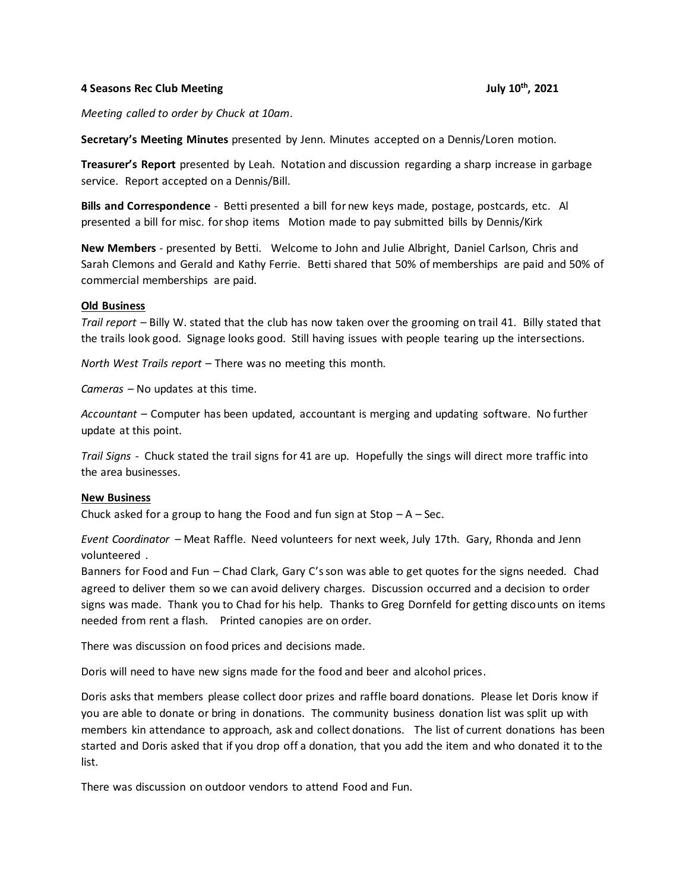## **4 Seasons Rec Club Meeting July 10th, 2021**

*Meeting called to order by Chuck at 10am*.

**Secretary's Meeting Minutes** presented by Jenn. Minutes accepted on a Dennis/Loren motion.

**Treasurer's Report** presented by Leah. Notation and discussion regarding a sharp increase in garbage service. Report accepted on a Dennis/Bill.

**Bills and Correspondence** - Betti presented a bill for new keys made, postage, postcards, etc. Al presented a bill for misc. for shop items Motion made to pay submitted bills by Dennis/Kirk

**New Members** - presented by Betti. Welcome to John and Julie Albright, Daniel Carlson, Chris and Sarah Clemons and Gerald and Kathy Ferrie. Betti shared that 50% of memberships are paid and 50% of commercial memberships are paid.

## **Old Business**

*Trail report* – Billy W. stated that the club has now taken over the grooming on trail 41. Billy stated that the trails look good. Signage looks good. Still having issues with people tearing up the intersections.

*North West Trails report* – There was no meeting this month.

*Cameras* – No updates at this time.

*Accountant* – Computer has been updated, accountant is merging and updating software. No further update at this point.

*Trail Signs* - Chuck stated the trail signs for 41 are up. Hopefully the sings will direct more traffic into the area businesses.

## **New Business**

Chuck asked for a group to hang the Food and fun sign at  $Stop - A - Sec.$ 

*Event Coordinator* – Meat Raffle. Need volunteers for next week, July 17th. Gary, Rhonda and Jenn volunteered .

Banners for Food and Fun – Chad Clark, Gary C's son was able to get quotes for the signs needed. Chad agreed to deliver them so we can avoid delivery charges. Discussion occurred and a decision to order signs was made. Thank you to Chad for his help. Thanks to Greg Dornfeld for getting discounts on items needed from rent a flash. Printed canopies are on order.

There was discussion on food prices and decisions made.

Doris will need to have new signs made for the food and beer and alcohol prices.

Doris asks that members please collect door prizes and raffle board donations. Please let Doris know if you are able to donate or bring in donations. The community business donation list was split up with members kin attendance to approach, ask and collect donations. The list of current donations has been started and Doris asked that if you drop off a donation, that you add the item and who donated it to the list.

There was discussion on outdoor vendors to attend Food and Fun.